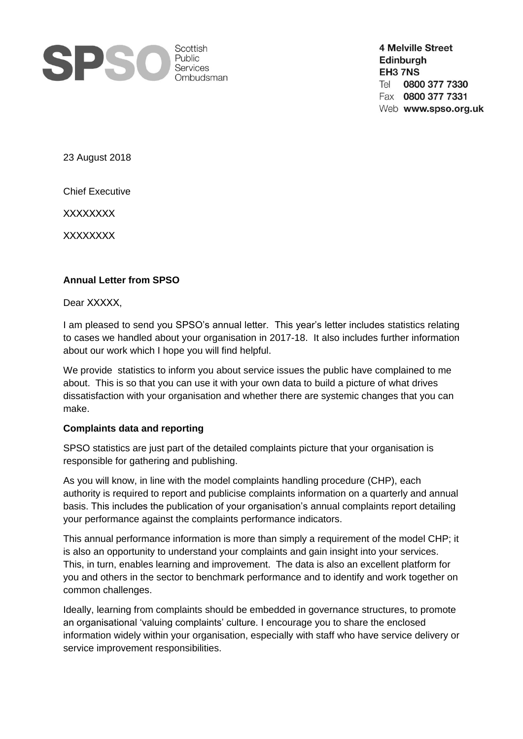

**4 Melville Street** Edinburgh EH3 7NS 0800 377 7330 Tel Fax 0800 377 7331 Web www.spso.org.uk

23 August 2018

Chief Executive

XXXXXXXX

XXXXXXXX

## **Annual Letter from SPSO**

Dear XXXXX,

I am pleased to send you SPSO's annual letter. This year's letter includes statistics relating to cases we handled about your organisation in 2017-18. It also includes further information about our work which I hope you will find helpful.

We provide statistics to inform you about service issues the public have complained to me about. This is so that you can use it with your own data to build a picture of what drives dissatisfaction with your organisation and whether there are systemic changes that you can make.

## **Complaints data and reporting**

SPSO statistics are just part of the detailed complaints picture that your organisation is responsible for gathering and publishing.

As you will know, in line with the model complaints handling procedure (CHP), each authority is required to report and publicise complaints information on a quarterly and annual basis. This includes the publication of your organisation's annual complaints report detailing your performance against the complaints performance indicators.

This annual performance information is more than simply a requirement of the model CHP; it is also an opportunity to understand your complaints and gain insight into your services. This, in turn, enables learning and improvement. The data is also an excellent platform for you and others in the sector to benchmark performance and to identify and work together on common challenges.

Ideally, learning from complaints should be embedded in governance structures, to promote an organisational 'valuing complaints' culture. I encourage you to share the enclosed information widely within your organisation, especially with staff who have service delivery or service improvement responsibilities.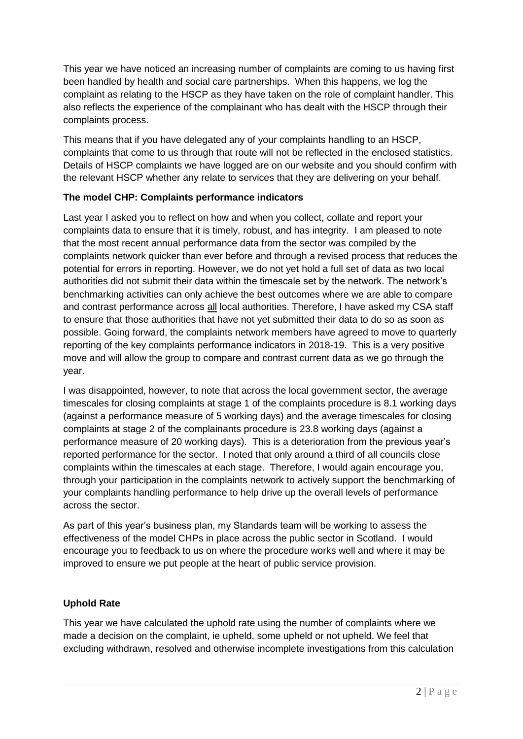This year we have noticed an increasing number of complaints are coming to us having first been handled by health and social care partnerships. When this happens, we log the complaint as relating to the HSCP as they have taken on the role of complaint handler. This also reflects the experience of the complainant who has dealt with the HSCP through their complaints process.

This means that if you have delegated any of your complaints handling to an HSCP, complaints that come to us through that route will not be reflected in the enclosed statistics. Details of HSCP complaints we have logged are on our website and you should confirm with the relevant HSCP whether any relate to services that they are delivering on your behalf.

## **The model CHP: Complaints performance indicators**

Last year I asked you to reflect on how and when you collect, collate and report your complaints data to ensure that it is timely, robust, and has integrity. I am pleased to note that the most recent annual performance data from the sector was compiled by the complaints network quicker than ever before and through a revised process that reduces the potential for errors in reporting. However, we do not yet hold a full set of data as two local authorities did not submit their data within the timescale set by the network. The network's benchmarking activities can only achieve the best outcomes where we are able to compare and contrast performance across all local authorities. Therefore, I have asked my CSA staff to ensure that those authorities that have not yet submitted their data to do so as soon as possible. Going forward, the complaints network members have agreed to move to quarterly reporting of the key complaints performance indicators in 2018-19. This is a very positive move and will allow the group to compare and contrast current data as we go through the year.

I was disappointed, however, to note that across the local government sector, the average timescales for closing complaints at stage 1 of the complaints procedure is 8.1 working days (against a performance measure of 5 working days) and the average timescales for closing complaints at stage 2 of the complainants procedure is 23.8 working days (against a performance measure of 20 working days). This is a deterioration from the previous year's reported performance for the sector. I noted that only around a third of all councils close complaints within the timescales at each stage. Therefore, I would again encourage you, through your participation in the complaints network to actively support the benchmarking of your complaints handling performance to help drive up the overall levels of performance across the sector.

As part of this year's business plan, my Standards team will be working to assess the effectiveness of the model CHPs in place across the public sector in Scotland. I would encourage you to feedback to us on where the procedure works well and where it may be improved to ensure we put people at the heart of public service provision.

# **Uphold Rate**

This year we have calculated the uphold rate using the number of complaints where we made a decision on the complaint, ie upheld, some upheld or not upheld. We feel that excluding withdrawn, resolved and otherwise incomplete investigations from this calculation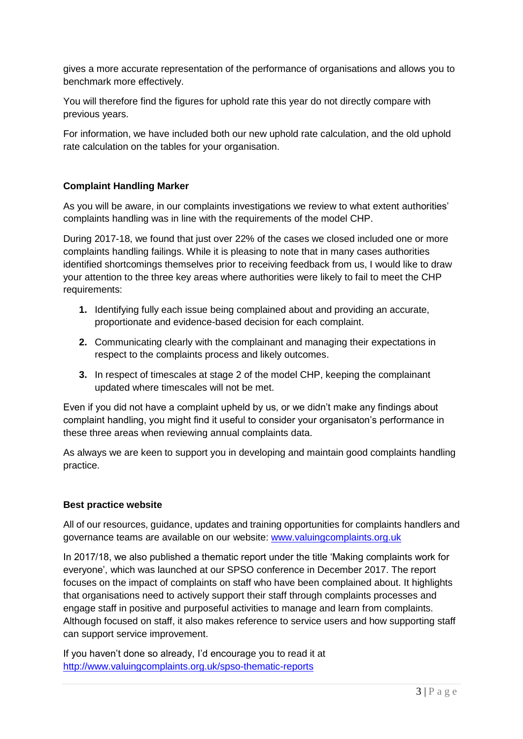gives a more accurate representation of the performance of organisations and allows you to benchmark more effectively.

You will therefore find the figures for uphold rate this year do not directly compare with previous years.

For information, we have included both our new uphold rate calculation, and the old uphold rate calculation on the tables for your organisation.

## **Complaint Handling Marker**

As you will be aware, in our complaints investigations we review to what extent authorities' complaints handling was in line with the requirements of the model CHP.

During 2017-18, we found that just over 22% of the cases we closed included one or more complaints handling failings. While it is pleasing to note that in many cases authorities identified shortcomings themselves prior to receiving feedback from us, I would like to draw your attention to the three key areas where authorities were likely to fail to meet the CHP requirements:

- **1.** Identifying fully each issue being complained about and providing an accurate, proportionate and evidence-based decision for each complaint.
- **2.** Communicating clearly with the complainant and managing their expectations in respect to the complaints process and likely outcomes.
- **3.** In respect of timescales at stage 2 of the model CHP, keeping the complainant updated where timescales will not be met.

Even if you did not have a complaint upheld by us, or we didn't make any findings about complaint handling, you might find it useful to consider your organisaton's performance in these three areas when reviewing annual complaints data.

As always we are keen to support you in developing and maintain good complaints handling practice.

#### **Best practice website**

All of our resources, guidance, updates and training opportunities for complaints handlers and governance teams are available on our website: [www.valuingcomplaints.org.uk](http://www.valuingcomplaints.org.uk/)

In 2017/18, we also published a thematic report under the title 'Making complaints work for everyone', which was launched at our SPSO conference in December 2017. The report focuses on the impact of complaints on staff who have been complained about. It highlights that organisations need to actively support their staff through complaints processes and engage staff in positive and purposeful activities to manage and learn from complaints. Although focused on staff, it also makes reference to service users and how supporting staff can support service improvement.

If you haven't done so already, I'd encourage you to read it at <http://www.valuingcomplaints.org.uk/spso-thematic-reports>